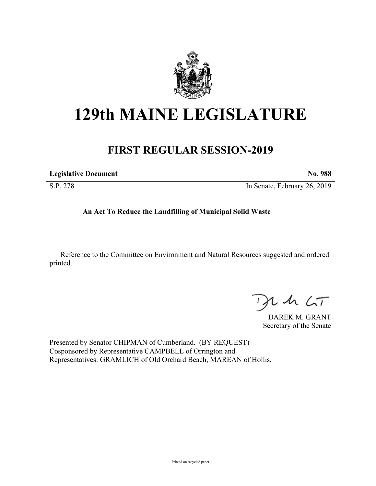

## **129th MAINE LEGISLATURE**

## **FIRST REGULAR SESSION-2019**

| <b>Legislative Document</b> | No. 988                      |
|-----------------------------|------------------------------|
| S.P. 278                    | In Senate, February 26, 2019 |

**An Act To Reduce the Landfilling of Municipal Solid Waste**

Reference to the Committee on Environment and Natural Resources suggested and ordered printed.

 $42.6T$ 

DAREK M. GRANT Secretary of the Senate

Presented by Senator CHIPMAN of Cumberland. (BY REQUEST) Cosponsored by Representative CAMPBELL of Orrington and Representatives: GRAMLICH of Old Orchard Beach, MAREAN of Hollis.